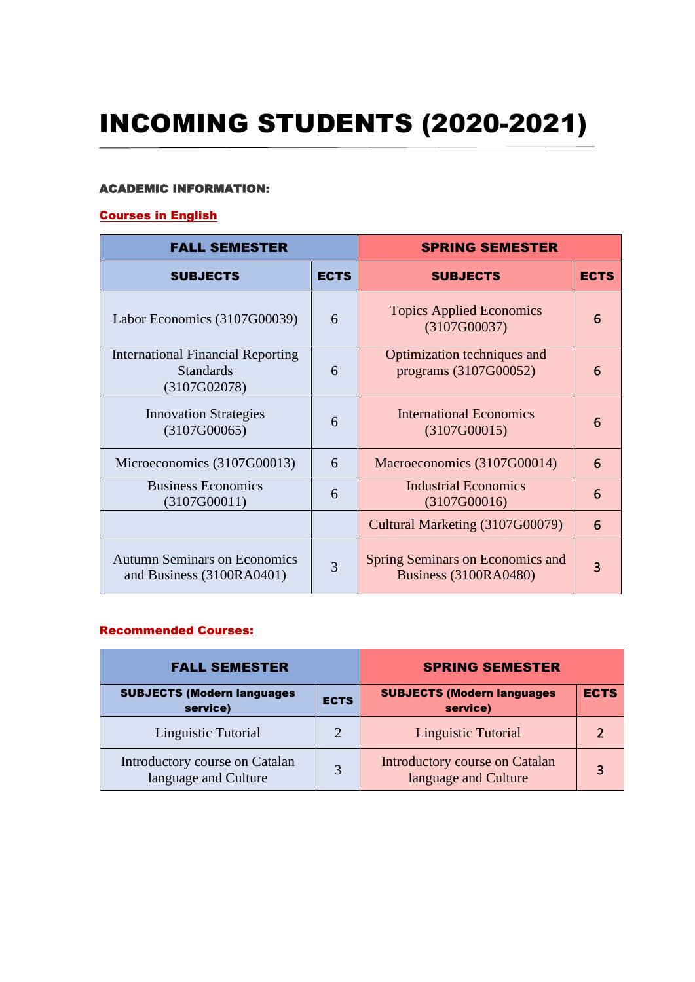# INCOMING STUDENTS (2020-2021)

#### ACADEMIC INFORMATION:

### Courses in English

| <b>FALL SEMESTER</b>                                                         |             | <b>SPRING SEMESTER</b>                                           |             |
|------------------------------------------------------------------------------|-------------|------------------------------------------------------------------|-------------|
| <b>SUBJECTS</b>                                                              | <b>ECTS</b> | <b>SUBJECTS</b>                                                  | <b>ECTS</b> |
| Labor Economics (3107G00039)                                                 | 6           | <b>Topics Applied Economics</b><br>(3107G00037)                  | 6           |
| <b>International Financial Reporting</b><br><b>Standards</b><br>(3107G02078) | 6           | Optimization techniques and<br>programs (3107G00052)             | 6           |
| <b>Innovation Strategies</b><br>(3107G00065)                                 | 6           | <b>International Economics</b><br>(3107G00015)                   | 6           |
| Microeconomics (3107G00013)                                                  | 6           | Macroeconomics (3107G00014)                                      | 6           |
| <b>Business Economics</b><br>(3107G00011)                                    | 6           | <b>Industrial Economics</b><br>(3107G00016)                      | 6           |
|                                                                              |             | Cultural Marketing (3107G00079)                                  | 6           |
| <b>Autumn Seminars on Economics</b><br>and Business (3100RA0401)             | 3           | Spring Seminars on Economics and<br><b>Business (3100RA0480)</b> | 3           |

#### Recommended Courses:

| <b>FALL SEMESTER</b>                                   |                       | <b>SPRING SEMESTER</b>                                 |             |
|--------------------------------------------------------|-----------------------|--------------------------------------------------------|-------------|
| <b>SUBJECTS (Modern languages</b><br>service)          | <b>ECTS</b>           | <b>SUBJECTS (Modern languages</b><br>service)          | <b>ECTS</b> |
| Linguistic Tutorial                                    | $\mathcal{D}_{\cdot}$ | Linguistic Tutorial                                    |             |
| Introductory course on Catalan<br>language and Culture | $\mathbf 3$           | Introductory course on Catalan<br>language and Culture |             |